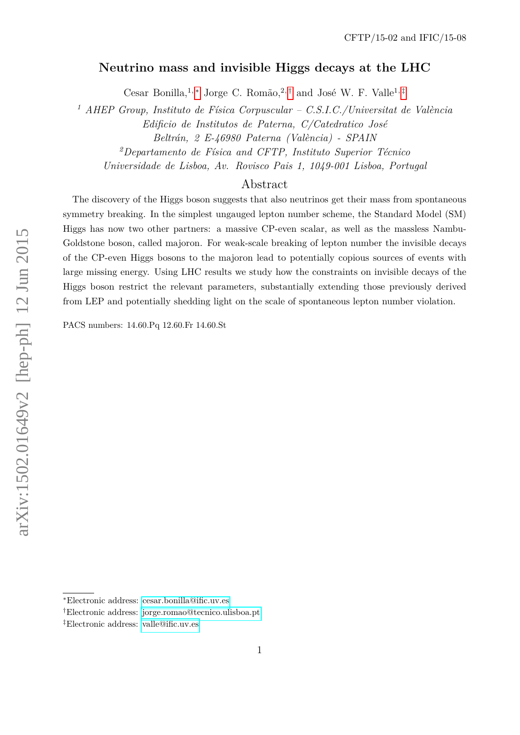# **Neutrino mass and invisible Higgs decays at the LHC**

Cesar Bonilla,<sup>1,\*</sup> Jorge C. Romão,<sup>2,[†](#page-0-1)</sup> and José W. F. Valle<sup>1,[‡](#page-0-2)</sup>

*<sup>1</sup> AHEP Group, Instituto de Física Corpuscular – C.S.I.C./Universitat de València*

*Edificio de Institutos de Paterna, C/Catedratico José*

*Beltrán, 2 E-46980 Paterna (València) - SPAIN*

*<sup>2</sup>Departamento de Física and CFTP, Instituto Superior Técnico*

*Universidade de Lisboa, Av. Rovisco Pais 1, 1049-001 Lisboa, Portugal*

# Abstract

The discovery of the Higgs boson suggests that also neutrinos get their mass from spontaneous symmetry breaking. In the simplest ungauged lepton number scheme, the Standard Model (SM) Higgs has now two other partners: a massive CP-even scalar, as well as the massless Nambu-Goldstone boson, called majoron. For weak-scale breaking of lepton number the invisible decays of the CP-even Higgs bosons to the majoron lead to potentially copious sources of events with large missing energy. Using LHC results we study how the constraints on invisible decays of the Higgs boson restrict the relevant parameters, substantially extending those previously derived from LEP and potentially shedding light on the scale of spontaneous lepton number violation.

PACS numbers: 14.60.Pq 12.60.Fr 14.60.St

<span id="page-0-1"></span><span id="page-0-0"></span><sup>∗</sup>Electronic address: [cesar.bonilla@ific.uv.es](mailto:cesar.bonilla@ific.uv.es)

<span id="page-0-2"></span><sup>†</sup>Electronic address: [jorge.romao@tecnico.ulisboa.pt](mailto:jorge.romao@tecnico.ulisboa.pt)

<sup>‡</sup>Electronic address: [valle@ific.uv.es](mailto:valle@ific.uv.es)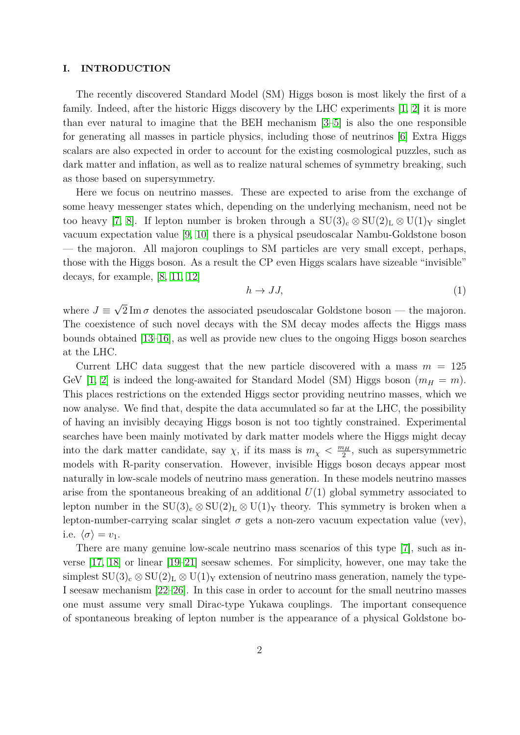## **I. INTRODUCTION**

The recently discovered Standard Model (SM) Higgs boson is most likely the first of a family. Indeed, after the historic Higgs discovery by the LHC experiments [\[1,](#page-11-0) [2\]](#page-11-1) it is more than ever natural to imagine that the BEH mechanism [\[3](#page-11-2)[–5\]](#page-11-3) is also the one responsible for generating all masses in particle physics, including those of neutrinos [\[6\]](#page-11-4) Extra Higgs scalars are also expected in order to account for the existing cosmological puzzles, such as dark matter and inflation, as well as to realize natural schemes of symmetry breaking, such as those based on supersymmetry.

Here we focus on neutrino masses. These are expected to arise from the exchange of some heavy messenger states which, depending on the underlying mechanism, need not be too heavy [\[7,](#page-11-5) [8\]](#page-11-6). If lepton number is broken through a  $SU(3)_c \otimes SU(2)_L \otimes U(1)_Y$  singlet vacuum expectation value [\[9,](#page-11-7) [10\]](#page-11-8) there is a physical pseudoscalar Nambu-Goldstone boson — the majoron. All majoron couplings to SM particles are very small except, perhaps, those with the Higgs boson. As a result the CP even Higgs scalars have sizeable "invisible" decays, for example, [\[8,](#page-11-6) [11,](#page-11-9) [12\]](#page-11-10)

<span id="page-1-0"></span>
$$
h \to JJ,\tag{1}
$$

where  $J \equiv$ √  $2 \text{Im} \sigma$  denotes the associated pseudoscalar Goldstone boson — the majoron. The coexistence of such novel decays with the SM decay modes affects the Higgs mass bounds obtained [\[13–](#page-12-0)[16\]](#page-12-1), as well as provide new clues to the ongoing Higgs boson searches at the LHC.

Current LHC data suggest that the new particle discovered with a mass  $m = 125$ GeV [\[1,](#page-11-0) [2\]](#page-11-1) is indeed the long-awaited for Standard Model (SM) Higgs boson  $(m_H = m)$ . This places restrictions on the extended Higgs sector providing neutrino masses, which we now analyse. We find that, despite the data accumulated so far at the LHC, the possibility of having an invisibly decaying Higgs boson is not too tightly constrained. Experimental searches have been mainly motivated by dark matter models where the Higgs might decay into the dark matter candidate, say  $\chi$ , if its mass is  $m_{\chi} < \frac{m_H}{2}$  $\frac{\partial H}{2}$ , such as supersymmetric models with R-parity conservation. However, invisible Higgs boson decays appear most naturally in low-scale models of neutrino mass generation. In these models neutrino masses arise from the spontaneous breaking of an additional *U*(1) global symmetry associated to lepton number in the  $SU(3)_c \otimes SU(2)_L \otimes U(1)_Y$  theory. This symmetry is broken when a lepton-number-carrying scalar singlet  $\sigma$  gets a non-zero vacuum expectation value (vev), i.e.  $\langle \sigma \rangle = v_1$ .

There are many genuine low-scale neutrino mass scenarios of this type [\[7\]](#page-11-5), such as inverse [\[17,](#page-12-2) [18\]](#page-12-3) or linear [\[19–](#page-12-4)[21\]](#page-12-5) seesaw schemes. For simplicity, however, one may take the simplest  $SU(3)_c \otimes SU(2)_L \otimes U(1)_Y$  extension of neutrino mass generation, namely the type-I seesaw mechanism [\[22](#page-12-6)[–26\]](#page-12-7). In this case in order to account for the small neutrino masses one must assume very small Dirac-type Yukawa couplings. The important consequence of spontaneous breaking of lepton number is the appearance of a physical Goldstone bo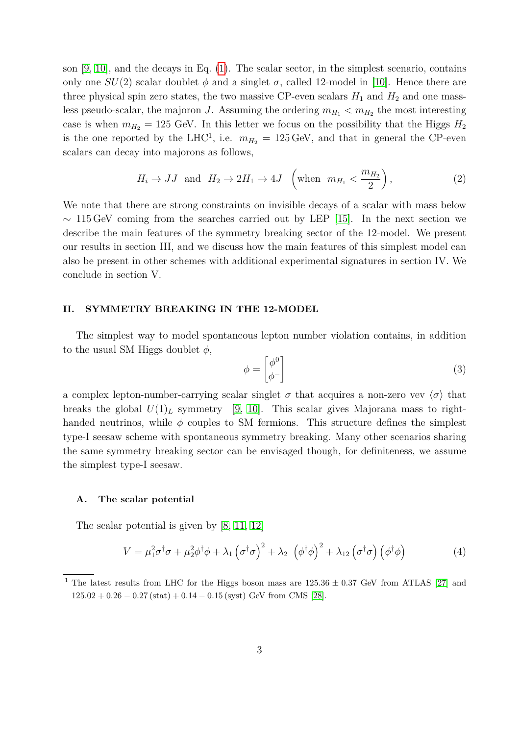son [\[9,](#page-11-7) [10\]](#page-11-8), and the decays in Eq. [\(1\)](#page-1-0). The scalar sector, in the simplest scenario, contains only one  $SU(2)$  scalar doublet  $\phi$  and a singlet  $\sigma$ , called 12-model in [\[10\]](#page-11-8). Hence there are three physical spin zero states, the two massive CP-even scalars  $H_1$  and  $H_2$  and one massless pseudo-scalar, the majoron *J*. Assuming the ordering  $m_{H_1} < m_{H_2}$  the most interesting case is when  $m_{H_2} = 125$  GeV. In this letter we focus on the possibility that the Higgs  $H_2$ is the one reported by the LHC<sup>1</sup>, i.e.  $m_{H_2} = 125 \,\text{GeV}$ , and that in general the CP-even scalars can decay into majorons as follows,

<span id="page-2-0"></span>
$$
H_i \to JJ \text{ and } H_2 \to 2H_1 \to 4J \quad \left(\text{when } m_{H_1} < \frac{m_{H_2}}{2}\right),\tag{2}
$$

We note that there are strong constraints on invisible decays of a scalar with mass below  $\sim 115 \,\text{GeV}$  coming from the searches carried out by LEP [\[15\]](#page-12-8). In the next section we describe the main features of the symmetry breaking sector of the 12-model. We present our results in section III, and we discuss how the main features of this simplest model can also be present in other schemes with additional experimental signatures in section IV. We conclude in section V.

# **II. SYMMETRY BREAKING IN THE 12-MODEL**

The simplest way to model spontaneous lepton number violation contains, in addition to the usual SM Higgs doublet *φ*,

$$
\phi = \begin{bmatrix} \phi^0 \\ \phi^- \end{bmatrix} \tag{3}
$$

a complex lepton-number-carrying scalar singlet  $\sigma$  that acquires a non-zero vev  $\langle \sigma \rangle$  that breaks the global  $U(1)<sub>L</sub>$  symmetry [\[9,](#page-11-7) [10\]](#page-11-8). This scalar gives Majorana mass to righthanded neutrinos, while  $\phi$  couples to SM fermions. This structure defines the simplest type-I seesaw scheme with spontaneous symmetry breaking. Many other scenarios sharing the same symmetry breaking sector can be envisaged though, for definiteness, we assume the simplest type-I seesaw.

#### **A. The scalar potential**

The scalar potential is given by [\[8,](#page-11-6) [11,](#page-11-9) [12\]](#page-11-10)

$$
V = \mu_1^2 \sigma^{\dagger} \sigma + \mu_2^2 \phi^{\dagger} \phi + \lambda_1 \left(\sigma^{\dagger} \sigma\right)^2 + \lambda_2 \left(\phi^{\dagger} \phi\right)^2 + \lambda_{12} \left(\sigma^{\dagger} \sigma\right) \left(\phi^{\dagger} \phi\right)
$$
 (4)

<sup>&</sup>lt;sup>1</sup> The latest results from LHC for the Higgs boson mass are  $125.36 \pm 0.37$  GeV from ATLAS [\[27\]](#page-12-9) and 125*.*02 + 0*.*26 − 0*.*27 (stat) + 0*.*14 − 0*.*15 (syst) GeV from CMS [\[28\]](#page-12-10).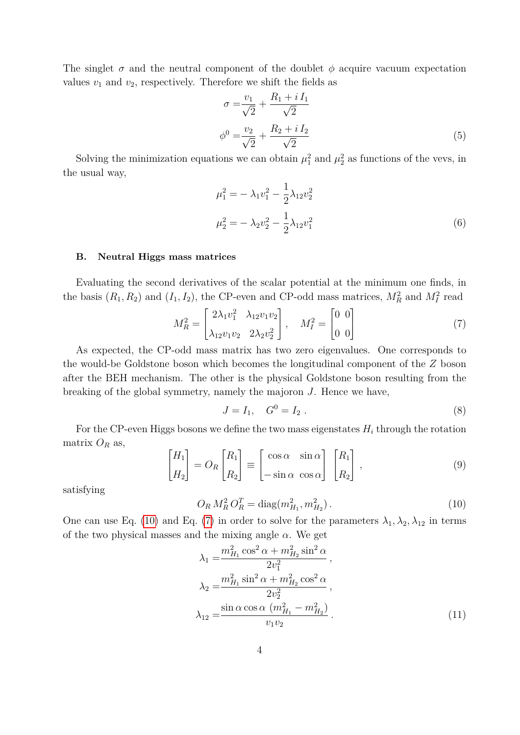The singlet  $\sigma$  and the neutral component of the doublet  $\phi$  acquire vacuum expectation values  $v_1$  and  $v_2$ , respectively. Therefore we shift the fields as

$$
\sigma = \frac{v_1}{\sqrt{2}} + \frac{R_1 + iI_1}{\sqrt{2}}
$$
  

$$
\phi^0 = \frac{v_2}{\sqrt{2}} + \frac{R_2 + iI_2}{\sqrt{2}}
$$
 (5)

Solving the minimization equations we can obtain  $\mu_1^2$  and  $\mu_2^2$  as functions of the vevs, in the usual way,

$$
\mu_1^2 = -\lambda_1 v_1^2 - \frac{1}{2} \lambda_{12} v_2^2
$$
  

$$
\mu_2^2 = -\lambda_2 v_2^2 - \frac{1}{2} \lambda_{12} v_1^2
$$
 (6)

## **B. Neutral Higgs mass matrices**

Evaluating the second derivatives of the scalar potential at the minimum one finds, in the basis  $(R_1, R_2)$  and  $(I_1, I_2)$ , the CP-even and CP-odd mass matrices,  $M_R^2$  and  $M_I^2$  read

$$
M_R^2 = \begin{bmatrix} 2\lambda_1 v_1^2 & \lambda_{12} v_1 v_2 \\ \lambda_{12} v_1 v_2 & 2\lambda_2 v_2^2 \end{bmatrix}, \quad M_I^2 = \begin{bmatrix} 0 & 0 \\ 0 & 0 \end{bmatrix}
$$
 (7)

As expected, the CP-odd mass matrix has two zero eigenvalues. One corresponds to the would-be Goldstone boson which becomes the longitudinal component of the *Z* boson after the BEH mechanism. The other is the physical Goldstone boson resulting from the breaking of the global symmetry, namely the majoron *J*. Hence we have,

<span id="page-3-1"></span>
$$
J = I_1, \quad G^0 = I_2 \ . \tag{8}
$$

For the CP-even Higgs bosons we define the two mass eigenstates  $H_i$  through the rotation matrix  $O_R$  as,

$$
\begin{bmatrix} H_1 \\ H_2 \end{bmatrix} = O_R \begin{bmatrix} R_1 \\ R_2 \end{bmatrix} \equiv \begin{bmatrix} \cos \alpha & \sin \alpha \\ -\sin \alpha & \cos \alpha \end{bmatrix} \begin{bmatrix} R_1 \\ R_2 \end{bmatrix},
$$
\n(9)

<span id="page-3-0"></span>satisfying

$$
O_R M_R^2 O_R^T = \text{diag}(m_{H_1}^2, m_{H_2}^2). \tag{10}
$$

One can use Eq. [\(10\)](#page-3-0) and Eq. [\(7\)](#page-3-1) in order to solve for the parameters  $\lambda_1, \lambda_2, \lambda_{12}$  in terms of the two physical masses and the mixing angle  $\alpha$ . We get

$$
\lambda_1 = \frac{m_{H_1}^2 \cos^2 \alpha + m_{H_2}^2 \sin^2 \alpha}{2v_1^2},
$$
  
\n
$$
\lambda_2 = \frac{m_{H_1}^2 \sin^2 \alpha + m_{H_2}^2 \cos^2 \alpha}{2v_2^2},
$$
  
\n
$$
\lambda_{12} = \frac{\sin \alpha \cos \alpha (m_{H_1}^2 - m_{H_2}^2)}{v_1 v_2}.
$$
\n(11)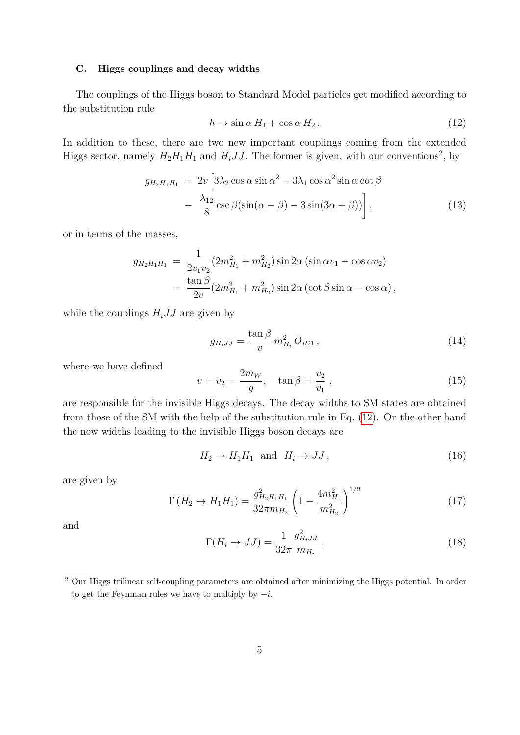# **C. Higgs couplings and decay widths**

The couplings of the Higgs boson to Standard Model particles get modified according to the substitution rule

<span id="page-4-0"></span>
$$
h \to \sin \alpha \, H_1 + \cos \alpha \, H_2 \,. \tag{12}
$$

In addition to these, there are two new important couplings coming from the extended Higgs sector, namely  $H_2H_1H_1$  and  $H_iJJ$ . The former is given, with our conventions<sup>2</sup>, by

$$
g_{H_2H_1H_1} = 2v \left[ 3\lambda_2 \cos \alpha \sin \alpha^2 - 3\lambda_1 \cos \alpha^2 \sin \alpha \cot \beta - \frac{\lambda_{12}}{8} \csc \beta (\sin(\alpha - \beta) - 3\sin(3\alpha + \beta)) \right],
$$
\n(13)

or in terms of the masses,

$$
g_{H_2H_1H_1} = \frac{1}{2v_1v_2} (2m_{H_1}^2 + m_{H_2}^2) \sin 2\alpha (\sin \alpha v_1 - \cos \alpha v_2)
$$
  
= 
$$
\frac{\tan \beta}{2v} (2m_{H_1}^2 + m_{H_2}^2) \sin 2\alpha (\cot \beta \sin \alpha - \cos \alpha),
$$

while the couplings  $H_i J J$  are given by

$$
g_{H_iJJ} = \frac{\tan \beta}{v} m_{H_i}^2 O_{Ri1},
$$
\n(14)

where we have defined

$$
v = v_2 = \frac{2m_W}{g}, \quad \tan \beta = \frac{v_2}{v_1} \,, \tag{15}
$$

are responsible for the invisible Higgs decays. The decay widths to SM states are obtained from those of the SM with the help of the substitution rule in Eq. [\(12\)](#page-4-0). On the other hand the new widths leading to the invisible Higgs boson decays are

$$
H_2 \to H_1 H_1 \quad \text{and} \quad H_i \to JJ \,, \tag{16}
$$

are given by

<span id="page-4-1"></span>
$$
\Gamma\left(H_2 \to H_1 H_1\right) = \frac{g_{H_2 H_1 H_1}^2}{32\pi m_{H_2}} \left(1 - \frac{4m_{H_1}^2}{m_{H_2}^2}\right)^{1/2} \tag{17}
$$

and

$$
\Gamma(H_i \to JJ) = \frac{1}{32\pi} \frac{g_{H_iJJ}^2}{m_{H_i}}.
$$
\n(18)

<sup>&</sup>lt;sup>2</sup> Our Higgs trilinear self-coupling parameters are obtained after minimizing the Higgs potential. In order to get the Feynman rules we have to multiply by −*i*.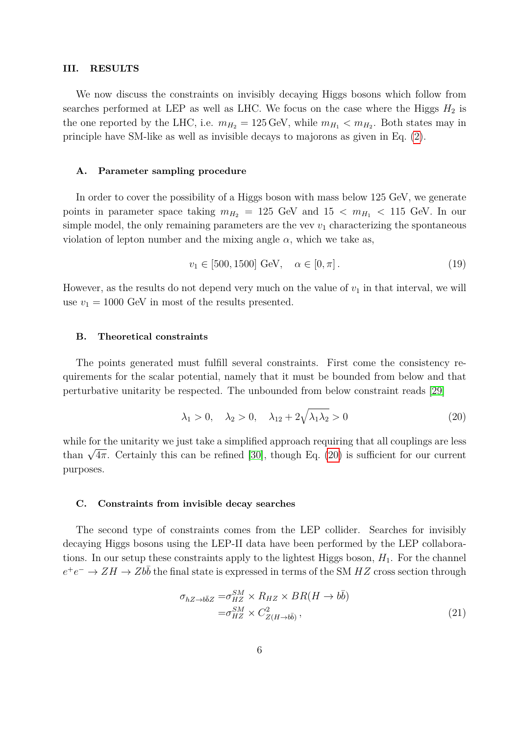#### **III. RESULTS**

We now discuss the constraints on invisibly decaying Higgs bosons which follow from searches performed at LEP as well as LHC. We focus on the case where the Higgs  $H_2$  is the one reported by the LHC, i.e.  $m_{H_2} = 125 \,\text{GeV}$ , while  $m_{H_1} < m_{H_2}$ . Both states may in principle have SM-like as well as invisible decays to majorons as given in Eq. [\(2\)](#page-2-0).

## **A. Parameter sampling procedure**

In order to cover the possibility of a Higgs boson with mass below 125 GeV, we generate points in parameter space taking  $m_{H_2} = 125$  GeV and  $15 < m_{H_1} < 115$  GeV. In our simple model, the only remaining parameters are the vev  $v_1$  characterizing the spontaneous violation of lepton number and the mixing angle  $\alpha$ , which we take as,

$$
v_1 \in [500, 1500] \text{ GeV}, \quad \alpha \in [0, \pi]. \tag{19}
$$

However, as the results do not depend very much on the value of  $v_1$  in that interval, we will use  $v_1 = 1000$  GeV in most of the results presented.

## **B. Theoretical constraints**

The points generated must fulfill several constraints. First come the consistency requirements for the scalar potential, namely that it must be bounded from below and that perturbative unitarity be respected. The unbounded from below constraint reads [\[29\]](#page-12-11)

<span id="page-5-0"></span>
$$
\lambda_1 > 0, \quad \lambda_2 > 0, \quad \lambda_{12} + 2\sqrt{\lambda_1 \lambda_2} > 0 \tag{20}
$$

while for the unitarity we just take a simplified approach requiring that all couplings are less while for the unitarity we just take a simplified approach requiring that an couplings are less<br>than  $\sqrt{4\pi}$ . Certainly this can be refined [\[30\]](#page-12-12), though Eq. [\(20\)](#page-5-0) is sufficient for our current purposes.

#### **C. Constraints from invisible decay searches**

The second type of constraints comes from the LEP collider. Searches for invisibly decaying Higgs bosons using the LEP-II data have been performed by the LEP collaborations. In our setup these constraints apply to the lightest Higgs boson,  $H_1$ . For the channel  $e^+e^- \to ZH \to Zb\bar{b}$  the final state is expressed in terms of the SM *HZ* cross section through

$$
\sigma_{hZ \to b\bar{b}Z} = \sigma_{HZ}^{SM} \times R_{HZ} \times BR(H \to b\bar{b})
$$
  

$$
= \sigma_{HZ}^{SM} \times C_{Z(H \to b\bar{b})}^{2},
$$
 (21)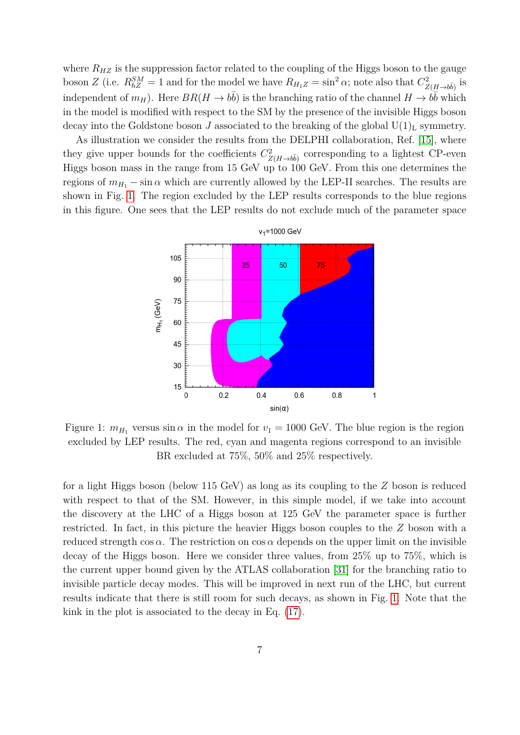where  $R_{HZ}$  is the suppression factor related to the coupling of the Higgs boson to the gauge boson *Z* (i.e.  $R_{hZ}^{SM} = 1$  and for the model we have  $R_{H_1Z} = \sin^2 \alpha$ ; note also that  $C_{Z(H \to b\bar{b})}^2$  is independent of  $m_H$ ). Here  $BR(H \to b\bar{b})$  is the branching ratio of the channel  $H \to b\bar{b}$  which in the model is modified with respect to the SM by the presence of the invisible Higgs boson decay into the Goldstone boson *J* associated to the breaking of the global  $U(1)<sub>L</sub>$  symmetry.

As illustration we consider the results from the DELPHI collaboration, Ref. [\[15\]](#page-12-8), where they give upper bounds for the coefficients  $C_{Z(H\to b\bar{b})}^2$  corresponding to a lightest CP-even Higgs boson mass in the range from 15 GeV up to 100 GeV. From this one determines the regions of  $m_{H_1}$  – sin  $\alpha$  which are currently allowed by the LEP-II searches. The results are shown in Fig. [1.](#page-6-0) The region excluded by the LEP results corresponds to the blue regions in this figure. One sees that the LEP results do not exclude much of the parameter space

![](_page_6_Figure_2.jpeg)

<span id="page-6-0"></span>Figure 1:  $m_{H_1}$  versus  $\sin \alpha$  in the model for  $v_1 = 1000$  GeV. The blue region is the region excluded by LEP results. The red, cyan and magenta regions correspond to an invisible BR excluded at 75%, 50% and 25% respectively.

for a light Higgs boson (below 115 GeV) as long as its coupling to the *Z* boson is reduced with respect to that of the SM. However, in this simple model, if we take into account the discovery at the LHC of a Higgs boson at 125 GeV the parameter space is further restricted. In fact, in this picture the heavier Higgs boson couples to the *Z* boson with a reduced strength  $\cos \alpha$ . The restriction on  $\cos \alpha$  depends on the upper limit on the invisible decay of the Higgs boson. Here we consider three values, from 25% up to 75%, which is the current upper bound given by the ATLAS collaboration [\[31\]](#page-12-13) for the branching ratio to invisible particle decay modes. This will be improved in next run of the LHC, but current results indicate that there is still room for such decays, as shown in Fig. [1.](#page-6-0) Note that the kink in the plot is associated to the decay in Eq. [\(17\)](#page-4-1).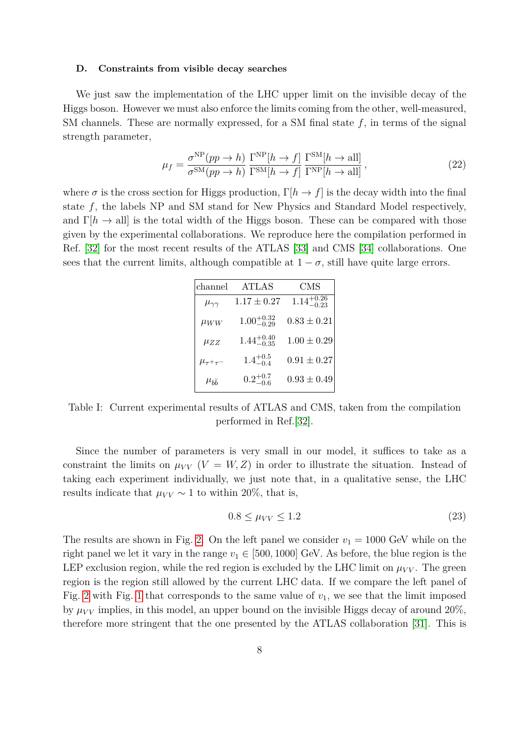#### **D. Constraints from visible decay searches**

We just saw the implementation of the LHC upper limit on the invisible decay of the Higgs boson. However we must also enforce the limits coming from the other, well-measured, SM channels. These are normally expressed, for a SM final state *f*, in terms of the signal strength parameter,

$$
\mu_f = \frac{\sigma^{\rm NP}(pp \to h)}{\sigma^{\rm SM}(pp \to h)} \frac{\Gamma^{\rm NP}[h \to f]}{\Gamma^{\rm SM}[h \to f]} \frac{\Gamma^{\rm SM}[h \to \text{all}]}{\Gamma^{\rm NP}[h \to \text{all}]}, \qquad (22)
$$

where  $\sigma$  is the cross section for Higgs production,  $\Gamma[h \to f]$  is the decay width into the final state *f*, the labels NP and SM stand for New Physics and Standard Model respectively, and  $\Gamma[h \to \text{all}]$  is the total width of the Higgs boson. These can be compared with those given by the experimental collaborations. We reproduce here the compilation performed in Ref. [\[32\]](#page-12-14) for the most recent results of the ATLAS [\[33\]](#page-12-15) and CMS [\[34\]](#page-12-16) collaborations. One sees that the current limits, although compatible at  $1 - \sigma$ , still have quite large errors.

| channel              | <b>ATLAS</b>           | CMS                    |
|----------------------|------------------------|------------------------|
| $\mu_{\gamma\gamma}$ | $1.17 \pm 0.27$        | $1.14^{+0.26}_{-0.23}$ |
| $\mu_{WW}$           | $1.00^{+0.32}_{-0.29}$ | $0.83 \pm 0.21$        |
| $\mu_{ZZ}$           | $1.44^{+0.40}_{-0.35}$ | $1.00 \pm 0.29$        |
| $\mu_{\tau^+\tau^-}$ | $1.4^{+0.5}_{-0.4}$    | $0.91 \pm 0.27$        |
| $\mu_{b\bar{b}}$     | $0.2^{+0.7}_{-0.6}$    | $0.93 \pm 0.49$        |

Table I: Current experimental results of ATLAS and CMS, taken from the compilation performed in Ref.[\[32\]](#page-12-14).

Since the number of parameters is very small in our model, it suffices to take as a constraint the limits on  $\mu_{VV}$  ( $V = W, Z$ ) in order to illustrate the situation. Instead of taking each experiment individually, we just note that, in a qualitative sense, the LHC results indicate that  $\mu_{VV} \sim 1$  to within 20%, that is,

$$
0.8 \leq \mu_{VV} \leq 1.2 \tag{23}
$$

The results are shown in Fig. [2.](#page-8-0) On the left panel we consider  $v_1 = 1000$  GeV while on the right panel we let it vary in the range  $v_1 \in [500, 1000]$  GeV. As before, the blue region is the LEP exclusion region, while the red region is excluded by the LHC limit on  $\mu_{VV}$ . The green region is the region still allowed by the current LHC data. If we compare the left panel of Fig. [2](#page-8-0) with Fig. [1](#page-6-0) that corresponds to the same value of  $v_1$ , we see that the limit imposed by  $\mu_{VV}$  implies, in this model, an upper bound on the invisible Higgs decay of around 20%, therefore more stringent that the one presented by the ATLAS collaboration [\[31\]](#page-12-13). This is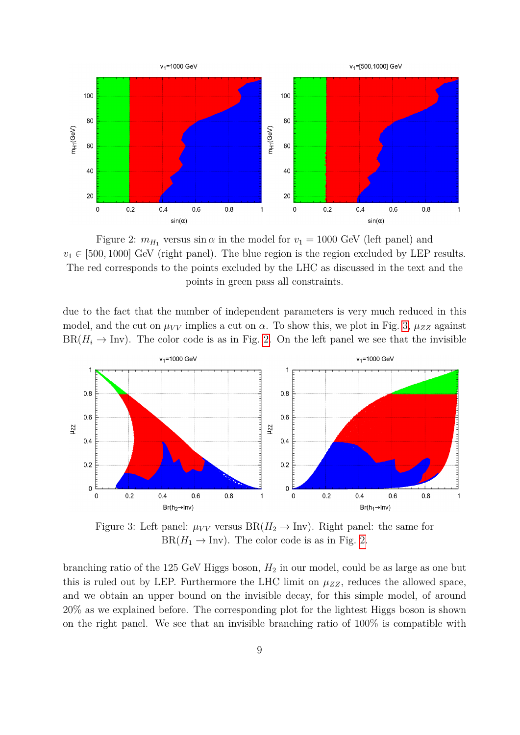![](_page_8_Figure_0.jpeg)

<span id="page-8-0"></span>Figure 2:  $m_{H_1}$  versus  $\sin \alpha$  in the model for  $v_1 = 1000$  GeV (left panel) and  $v_1 \in [500, 1000]$  GeV (right panel). The blue region is the region excluded by LEP results. The red corresponds to the points excluded by the LHC as discussed in the text and the points in green pass all constraints.

due to the fact that the number of independent parameters is very much reduced in this model, and the cut on  $\mu_{VV}$  implies a cut on  $\alpha$ . To show this, we plot in Fig. [3,](#page-8-1)  $\mu_{ZZ}$  against  $BR(H_i \rightarrow Inv)$ . The color code is as in Fig. [2.](#page-8-0) On the left panel we see that the invisible

![](_page_8_Figure_3.jpeg)

<span id="page-8-1"></span>Figure 3: Left panel:  $\mu_{VV}$  versus  $BR(H_2 \to Inv)$ . Right panel: the same for  $BR(H_1 \rightarrow Inv)$ . The color code is as in Fig. [2.](#page-8-0)

branching ratio of the 125 GeV Higgs boson,  $H_2$  in our model, could be as large as one but this is ruled out by LEP. Furthermore the LHC limit on  $\mu_{ZZ}$ , reduces the allowed space, and we obtain an upper bound on the invisible decay, for this simple model, of around 20% as we explained before. The corresponding plot for the lightest Higgs boson is shown on the right panel. We see that an invisible branching ratio of 100% is compatible with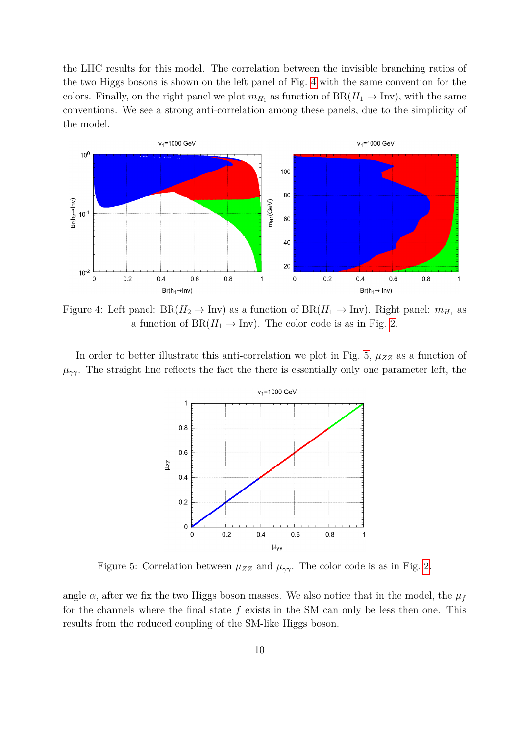the LHC results for this model. The correlation between the invisible branching ratios of the two Higgs bosons is shown on the left panel of Fig. [4](#page-9-0) with the same convention for the colors. Finally, on the right panel we plot  $m_{H_1}$  as function of  $BR(H_1 \rightarrow Inv)$ , with the same conventions. We see a strong anti-correlation among these panels, due to the simplicity of the model.

![](_page_9_Figure_1.jpeg)

<span id="page-9-0"></span>Figure 4: Left panel:  $BR(H_2 \to Inv)$  as a function of  $BR(H_1 \to Inv)$ . Right panel:  $m_{H_1}$  as a function of  $BR(H_1 \rightarrow Inv)$ . The color code is as in Fig. [2.](#page-8-0)

In order to better illustrate this anti-correlation we plot in Fig. [5,](#page-9-1)  $\mu_{ZZ}$  as a function of  $\mu_{\gamma\gamma}$ . The straight line reflects the fact the there is essentially only one parameter left, the

![](_page_9_Figure_4.jpeg)

<span id="page-9-1"></span>Figure 5: Correlation between  $\mu_{ZZ}$  and  $\mu_{\gamma\gamma}$ . The color code is as in Fig. [2.](#page-8-0)

angle  $\alpha$ , after we fix the two Higgs boson masses. We also notice that in the model, the  $\mu_f$ for the channels where the final state *f* exists in the SM can only be less then one. This results from the reduced coupling of the SM-like Higgs boson.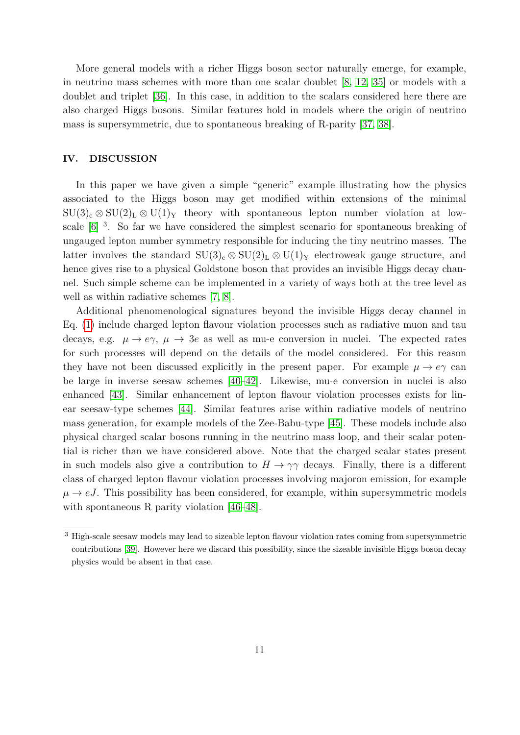More general models with a richer Higgs boson sector naturally emerge, for example, in neutrino mass schemes with more than one scalar doublet [\[8,](#page-11-6) [12,](#page-11-10) [35\]](#page-12-17) or models with a doublet and triplet [\[36\]](#page-12-18). In this case, in addition to the scalars considered here there are also charged Higgs bosons. Similar features hold in models where the origin of neutrino mass is supersymmetric, due to spontaneous breaking of R-parity [\[37,](#page-12-19) [38\]](#page-12-20).

## **IV. DISCUSSION**

In this paper we have given a simple "generic" example illustrating how the physics associated to the Higgs boson may get modified within extensions of the minimal  $\text{SU}(3)_{\text{c}} \otimes \text{SU}(2)_{\text{L}} \otimes \text{U}(1)_{\text{Y}}$  theory with spontaneous lepton number violation at lowscale  $[6]$ <sup>3</sup>. So far we have considered the simplest scenario for spontaneous breaking of ungauged lepton number symmetry responsible for inducing the tiny neutrino masses. The latter involves the standard  $SU(3)_c \otimes SU(2)_L \otimes U(1)_Y$  electroweak gauge structure, and hence gives rise to a physical Goldstone boson that provides an invisible Higgs decay channel. Such simple scheme can be implemented in a variety of ways both at the tree level as well as within radiative schemes [\[7,](#page-11-5) [8\]](#page-11-6).

Additional phenomenological signatures beyond the invisible Higgs decay channel in Eq. [\(1\)](#page-1-0) include charged lepton flavour violation processes such as radiative muon and tau decays, e.g.  $\mu \to e\gamma$ ,  $\mu \to 3e$  as well as mu-e conversion in nuclei. The expected rates for such processes will depend on the details of the model considered. For this reason they have not been discussed explicitly in the present paper. For example  $\mu \to e\gamma$  can be large in inverse seesaw schemes [\[40–](#page-12-21)[42\]](#page-12-22). Likewise, mu-e conversion in nuclei is also enhanced [\[43\]](#page-12-23). Similar enhancement of lepton flavour violation processes exists for linear seesaw-type schemes [\[44\]](#page-12-24). Similar features arise within radiative models of neutrino mass generation, for example models of the Zee-Babu-type [\[45\]](#page-12-25). These models include also physical charged scalar bosons running in the neutrino mass loop, and their scalar potential is richer than we have considered above. Note that the charged scalar states present in such models also give a contribution to  $H \to \gamma\gamma$  decays. Finally, there is a different class of charged lepton flavour violation processes involving majoron emission, for example  $\mu \rightarrow eJ$ . This possibility has been considered, for example, within supersymmetric models with spontaneous R parity violation [\[46–](#page-12-26)[48\]](#page-13-0).

<sup>&</sup>lt;sup>3</sup> High-scale seesaw models may lead to sizeable lepton flavour violation rates coming from supersymmetric contributions [\[39\]](#page-12-27). However here we discard this possibility, since the sizeable invisible Higgs boson decay physics would be absent in that case.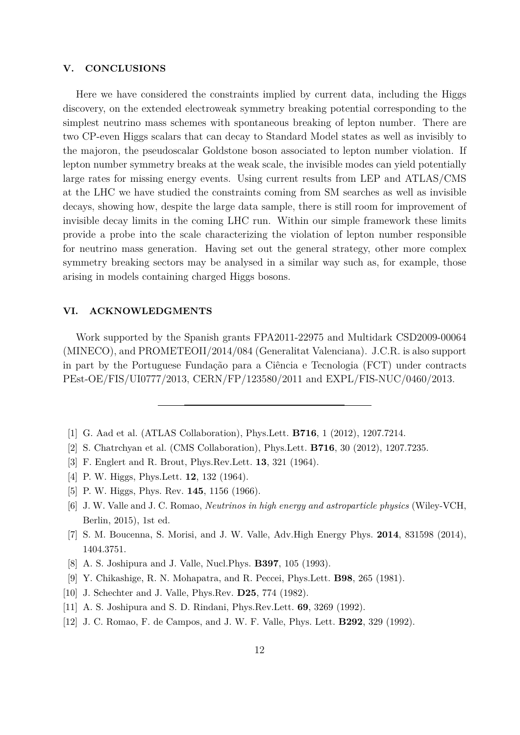## **V. CONCLUSIONS**

Here we have considered the constraints implied by current data, including the Higgs discovery, on the extended electroweak symmetry breaking potential corresponding to the simplest neutrino mass schemes with spontaneous breaking of lepton number. There are two CP-even Higgs scalars that can decay to Standard Model states as well as invisibly to the majoron, the pseudoscalar Goldstone boson associated to lepton number violation. If lepton number symmetry breaks at the weak scale, the invisible modes can yield potentially large rates for missing energy events. Using current results from LEP and ATLAS/CMS at the LHC we have studied the constraints coming from SM searches as well as invisible decays, showing how, despite the large data sample, there is still room for improvement of invisible decay limits in the coming LHC run. Within our simple framework these limits provide a probe into the scale characterizing the violation of lepton number responsible for neutrino mass generation. Having set out the general strategy, other more complex symmetry breaking sectors may be analysed in a similar way such as, for example, those arising in models containing charged Higgs bosons.

## **VI. ACKNOWLEDGMENTS**

Work supported by the Spanish grants FPA2011-22975 and Multidark CSD2009-00064 (MINECO), and PROMETEOII/2014/084 (Generalitat Valenciana). J.C.R. is also support in part by the Portuguese Fundação para a Ciência e Tecnologia (FCT) under contracts PEst-OE/FIS/UI0777/2013, CERN/FP/123580/2011 and EXPL/FIS-NUC/0460/2013.

- <span id="page-11-1"></span><span id="page-11-0"></span>[1] G. Aad et al. (ATLAS Collaboration), Phys.Lett. **B716**, 1 (2012), 1207.7214.
- <span id="page-11-2"></span>[2] S. Chatrchyan et al. (CMS Collaboration), Phys.Lett. **B716**, 30 (2012), 1207.7235.
- [3] F. Englert and R. Brout, Phys.Rev.Lett. **13**, 321 (1964).
- [4] P. W. Higgs, Phys.Lett. **12**, 132 (1964).
- <span id="page-11-4"></span><span id="page-11-3"></span>[5] P. W. Higgs, Phys. Rev. **145**, 1156 (1966).
- [6] J. W. Valle and J. C. Romao, *Neutrinos in high energy and astroparticle physics* (Wiley-VCH, Berlin, 2015), 1st ed.
- <span id="page-11-5"></span>[7] S. M. Boucenna, S. Morisi, and J. W. Valle, Adv.High Energy Phys. **2014**, 831598 (2014), 1404.3751.
- <span id="page-11-7"></span><span id="page-11-6"></span>[8] A. S. Joshipura and J. Valle, Nucl.Phys. **B397**, 105 (1993).
- [9] Y. Chikashige, R. N. Mohapatra, and R. Peccei, Phys.Lett. **B98**, 265 (1981).
- <span id="page-11-8"></span>[10] J. Schechter and J. Valle, Phys.Rev. **D25**, 774 (1982).
- <span id="page-11-10"></span><span id="page-11-9"></span>[11] A. S. Joshipura and S. D. Rindani, Phys.Rev.Lett. **69**, 3269 (1992).
- [12] J. C. Romao, F. de Campos, and J. W. F. Valle, Phys. Lett. **B292**, 329 (1992).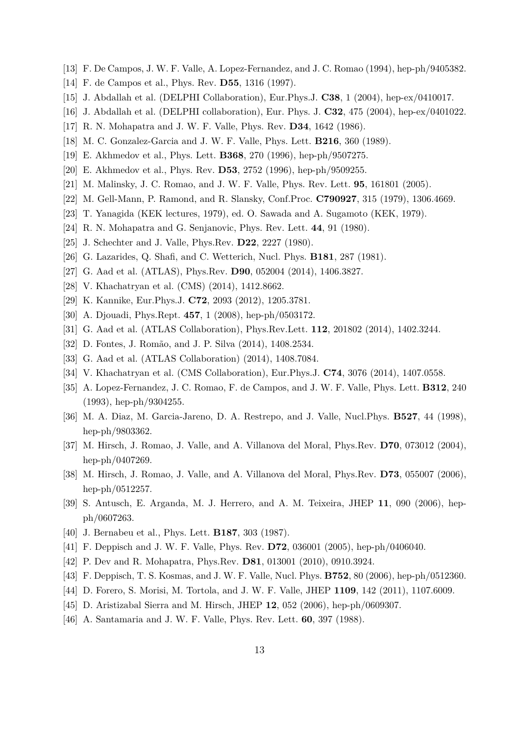- <span id="page-12-0"></span>[13] F. De Campos, J. W. F. Valle, A. Lopez-Fernandez, and J. C. Romao (1994), hep-ph/9405382.
- <span id="page-12-8"></span>[14] F. de Campos et al., Phys. Rev. **D55**, 1316 (1997).
- <span id="page-12-1"></span>[15] J. Abdallah et al. (DELPHI Collaboration), Eur.Phys.J. **C38**, 1 (2004), hep-ex/0410017.
- <span id="page-12-2"></span>[16] J. Abdallah et al. (DELPHI collaboration), Eur. Phys. J. **C32**, 475 (2004), hep-ex/0401022.
- [17] R. N. Mohapatra and J. W. F. Valle, Phys. Rev. **D34**, 1642 (1986).
- <span id="page-12-3"></span>[18] M. C. Gonzalez-Garcia and J. W. F. Valle, Phys. Lett. **B216**, 360 (1989).
- <span id="page-12-4"></span>[19] E. Akhmedov et al., Phys. Lett. **B368**, 270 (1996), hep-ph/9507275.
- <span id="page-12-5"></span>[20] E. Akhmedov et al., Phys. Rev. **D53**, 2752 (1996), hep-ph/9509255.
- <span id="page-12-6"></span>[21] M. Malinsky, J. C. Romao, and J. W. F. Valle, Phys. Rev. Lett. **95**, 161801 (2005).
- [22] M. Gell-Mann, P. Ramond, and R. Slansky, Conf.Proc. **C790927**, 315 (1979), 1306.4669.
- [23] T. Yanagida (KEK lectures, 1979), ed. O. Sawada and A. Sugamoto (KEK, 1979).
- [24] R. N. Mohapatra and G. Senjanovic, Phys. Rev. Lett. **44**, 91 (1980).
- <span id="page-12-7"></span>[25] J. Schechter and J. Valle, Phys.Rev. **D22**, 2227 (1980).
- <span id="page-12-9"></span>[26] G. Lazarides, Q. Shafi, and C. Wetterich, Nucl. Phys. **B181**, 287 (1981).
- <span id="page-12-10"></span>[27] G. Aad et al. (ATLAS), Phys.Rev. **D90**, 052004 (2014), 1406.3827.
- <span id="page-12-11"></span>[28] V. Khachatryan et al. (CMS) (2014), 1412.8662.
- <span id="page-12-12"></span>[29] K. Kannike, Eur.Phys.J. **C72**, 2093 (2012), 1205.3781.
- <span id="page-12-13"></span>[30] A. Djouadi, Phys.Rept. **457**, 1 (2008), hep-ph/0503172.
- <span id="page-12-14"></span>[31] G. Aad et al. (ATLAS Collaboration), Phys.Rev.Lett. **112**, 201802 (2014), 1402.3244.
- <span id="page-12-15"></span>[32] D. Fontes, J. Romão, and J. P. Silva (2014), 1408.2534.
- <span id="page-12-16"></span>[33] G. Aad et al. (ATLAS Collaboration) (2014), 1408.7084.
- <span id="page-12-17"></span>[34] V. Khachatryan et al. (CMS Collaboration), Eur.Phys.J. **C74**, 3076 (2014), 1407.0558.
- [35] A. Lopez-Fernandez, J. C. Romao, F. de Campos, and J. W. F. Valle, Phys. Lett. **B312**, 240 (1993), hep-ph/9304255.
- <span id="page-12-18"></span>[36] M. A. Diaz, M. Garcia-Jareno, D. A. Restrepo, and J. Valle, Nucl.Phys. **B527**, 44 (1998), hep-ph/9803362.
- <span id="page-12-19"></span>[37] M. Hirsch, J. Romao, J. Valle, and A. Villanova del Moral, Phys.Rev. **D70**, 073012 (2004), hep-ph/0407269.
- <span id="page-12-20"></span>[38] M. Hirsch, J. Romao, J. Valle, and A. Villanova del Moral, Phys.Rev. **D73**, 055007 (2006), hep-ph/0512257.
- <span id="page-12-27"></span>[39] S. Antusch, E. Arganda, M. J. Herrero, and A. M. Teixeira, JHEP **11**, 090 (2006), hepph/0607263.
- <span id="page-12-21"></span>[40] J. Bernabeu et al., Phys. Lett. **B187**, 303 (1987).
- <span id="page-12-22"></span>[41] F. Deppisch and J. W. F. Valle, Phys. Rev. **D72**, 036001 (2005), hep-ph/0406040.
- <span id="page-12-23"></span>[42] P. Dev and R. Mohapatra, Phys.Rev. **D81**, 013001 (2010), 0910.3924.
- [43] F. Deppisch, T. S. Kosmas, and J. W. F. Valle, Nucl. Phys. **B752**, 80 (2006), hep-ph/0512360.
- <span id="page-12-25"></span><span id="page-12-24"></span>[44] D. Forero, S. Morisi, M. Tortola, and J. W. F. Valle, JHEP **1109**, 142 (2011), 1107.6009.
- [45] D. Aristizabal Sierra and M. Hirsch, JHEP **12**, 052 (2006), hep-ph/0609307.
- <span id="page-12-26"></span>[46] A. Santamaria and J. W. F. Valle, Phys. Rev. Lett. **60**, 397 (1988).